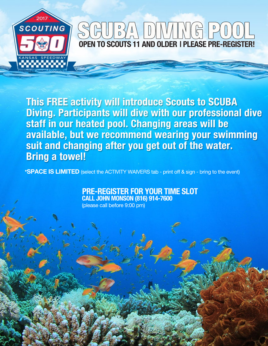

# **OPEN TO SCOUTS 11 AND OLDER I PLEASE PRE-REGISTER!**

This FREE activity will introduce Scouts to SCUBA Diving. Participants will dive with our professional dive staff in our heated pool. Changing areas will be available, but we recommend wearing your swimming suit and changing after you get out of the water. **Bring a towel!** 

\*SPACE IS LIMITED (select the ACTIVITY WAIVERS tab - print off & sign - bring to the event)

#### PRE-REGISTER FOR YOUR TIME SLOT **CALL JOHN MONSON (816) 914-7600**

(please call before 9:00 pm)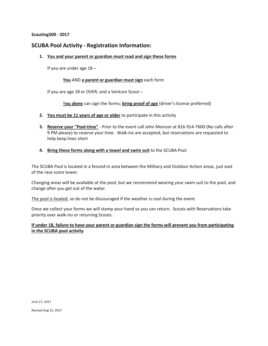**Scouting500 - 2017**

#### **SCUBA Pool Activity - Registration Information:**

**1. You and your parent or guardian must read and sign these forms**

If you are under age 18 –

#### **You** AND **a parent or guardian must sign** each form

If you are age 18 or OVER, and a Venture Scout –

Y**ou alone** can sign the forms; **bring proof of age** (driver's license preferred)

- **2. You must be 11 years of age or older** to participate in this activity
- **3. Reserve your "Pool-time"** Prior to the event call John Monson at 816-914-7600 (No calls after 9 PM please) to reserve your time. Walk-ins are accepted, but reservations are requested to help keep lines short
- **4. Bring these forms along with a towel and swim suit** to the SCUBA Pool

The SCUBA Pool is located in a fenced-in area between the Military and Outdoor Action areas, just east of the race score tower.

Changing areas will be available at the pool, but we recommend wearing your swim suit to the pool, and change after you get out of the water.

The pool is heated, so do not be discouraged if the weather is cool during the event.

Once we collect your forms we will stamp your hand so you can return. Scouts with Reservations take priority over walk-ins or returning Scouts.

#### **If under 18, failure to have your parent or guardian sign the forms will prevent you from participating in the SCUBA pool activity**

Revised Aug 31, 2017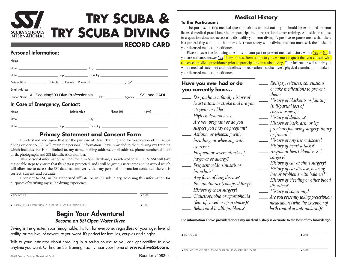### **Try Scuba & Try Scuba Diving** CUBA SCHOOLS<br>NTERNATIONAL

#### **RECORD CARD**

#### Personal Information:

| Date of Birth ____________ □ Male  □ Female  Phone (H) _____________________; (W)__________________ |  |  |  |  |  |  |
|-----------------------------------------------------------------------------------------------------|--|--|--|--|--|--|
|                                                                                                     |  |  |  |  |  |  |
| Leader Name All Scouting500 Dive Professionals No. _________ Agency SSI and PADI                    |  |  |  |  |  |  |
| In Case of Emergency, Contact:                                                                      |  |  |  |  |  |  |
|                                                                                                     |  |  |  |  |  |  |
|                                                                                                     |  |  |  |  |  |  |

#### State \_\_\_\_\_\_\_\_\_\_\_\_\_\_\_\_\_\_\_\_\_\_\_\_\_\_\_ Zip \_\_\_\_\_\_\_\_\_\_\_\_\_\_\_\_ Country \_\_\_\_\_\_\_\_\_\_\_\_\_\_\_\_\_\_\_\_\_\_\_\_\_\_\_\_\_\_\_\_\_\_\_\_\_\_\_\_\_\_\_\_\_ **Privacy Statement and Consent Form**

I understand and agree that for the purpose of Diver Training and for verification of my scuba diving experience, SSI will retain the personal information I have provided to them during my training which includes, but is not limited to, my name, mailing address, email address, phone number, date of birth, photograph, and SSI identification number.

This personal information will be stored in SSI's database, also referred to as ODiN. SSI will take reasonable steps to ensure that this data is protected, and I will be given a username and password which will allow me to access the SSI database and verify that my personal information contained therein is correct, current, and accurate.

I consent to SSI, an SSI authorized affiliate, or an SSI subsidiary, accessing this information for purposes of verifying my scuba diving experience.

\_\_\_\_\_\_\_\_\_\_\_\_\_\_\_\_\_\_\_\_\_\_\_\_\_\_\_\_\_\_\_\_\_\_\_\_\_\_\_\_\_\_\_\_\_\_\_\_\_\_\_\_\_\_\_\_\_\_\_\_\_\_\_\_\_\_\_\_\_\_\_\_\_\_\_\_\_\_\_\_\_\_\_\_\_\_ \_\_\_\_\_\_\_\_\_\_\_\_\_\_\_\_\_\_\_ ▲ SIGNATURE ▲  $\blacksquare$ 

\_\_\_\_\_\_\_\_\_\_\_\_\_\_\_\_\_\_\_\_\_\_\_\_\_\_\_\_\_\_\_\_\_\_\_\_\_\_\_\_\_\_\_\_\_\_\_\_\_\_\_\_\_\_\_\_\_\_\_\_\_\_\_\_\_\_\_\_\_\_\_\_\_\_\_\_\_\_\_\_\_\_\_\_\_\_ \_\_\_\_\_\_\_\_\_\_\_\_\_\_\_\_\_\_\_ ▲ SIGNATURES OF PARENTS OR GUARDIANS WHERE APPLICABLE ▲ DATE

#### Begin Your Adventure! *Become an SSI Open Water Diver.*

Diving is the greatest sport imaginable. It's fun for everyone, regardless of your age, level of ability, or the level of adventure you want. It's perfect for families, couples and singles.

Talk to your instructor about enrolling in a scuba course so you can get certified to dive anytime you want. Or find an SSI Training Facility near your home at **www.diveSSI.com.**

#### **Medical History**

The purpose of this medical questionnaire is to find out if you should be examined by your licensed medical practitioner before participating in recreational diver training. A positive response to a question does not necessarily disqualify you from diving. A positive response means that there is a pre-existing condition that may affect your safety while diving and you must seek the advice of your licensed medical practitioner.

Please answer the following questions on your past or present medical history with a Yes or No. If you are not sure, answer Yes. If any of these items apply to you, we must request that you consult with a licensed medical practitioner prior to participating in scuba diving. Your Instructor will supply you with a medical statement and guidelines for recreational scuba diver's physical examination to take to your licensed medical practitioner.

#### **Have you ever had or do you currently have…**

**To the Participant:**

- *\_\_\_\_ Do you have a family history of heart attack or stroke and are you 45 years or older?*
- *\_\_\_\_ High cholesterol level*
- *\_\_\_\_ Are you pregnant or do you suspect you may be pregnant?*
- *\_\_\_\_ Asthma, or wheezing with breathing, or wheezing with exercise?*
- *\_\_\_\_ Frequent or severe attacks of hayfever or allergy?*
- *\_\_\_\_ Frequent colds, sinusitis or bronchitis?*
- *\_\_\_\_ Any form of lung disease?*
- *\_\_\_\_ Pneumothorax (collapsed lung)?*
- *\_\_\_\_ History of chest surgery?*
- *\_\_\_\_ Claustrophobia or agoraphobia*
- *(fear of closed or open spaces)?*
- *\_\_\_\_ Behavioral health problems?*

**The information I have provided about my medical history is accurate to the best of my knowledge.**

\_\_\_\_\_\_\_\_\_\_\_\_\_\_\_\_\_\_\_\_\_\_\_\_\_\_\_\_\_\_\_\_\_\_\_\_\_\_\_\_\_\_\_\_\_\_\_\_\_\_\_\_\_\_\_\_\_\_\_\_\_\_\_\_\_\_\_\_\_\_\_\_\_\_\_\_\_\_\_\_ \_\_\_\_\_\_\_\_\_\_\_\_\_\_\_\_\_\_\_ ▲ SIGNATURE ▲ PATE → PATE → PATE → PATE → PATE → PATE → PATE → PATE → PATE → PATE

*\_\_\_\_ Epilepsy, seizures, convulsions or take medications to prevent them?*

*\_\_\_\_ History of blackouts or fainting (full/partial loss of* 

- *consciousness)?*
- *\_\_\_\_ History of diabetes?*
- *\_\_\_\_ History of back, arm or leg problems following surgery, injury or fracture?*
- *\_\_\_\_ History of any heart disease?*
- *\_\_\_\_ History of heart attacks?*
- *\_\_\_\_ Angina or heart blood vessel surgery?*
- *\_\_\_\_ History of ear or sinus surgery?*
- *\_\_\_\_ History of ear disease, hearing*
- *loss or problems with balance?*
- *\_\_\_\_ History of bleeding or other blood disorders?*
- *\_\_\_\_ History of colostomy?*
- *\_\_\_\_ Are you presently taking prescription medications (with the exception of birth control or anti-malarial)?*

\_\_\_\_\_\_\_\_\_\_\_\_\_\_\_\_\_\_\_\_\_\_\_\_\_\_\_\_\_\_\_\_\_\_\_\_\_\_\_\_\_\_\_\_\_\_\_\_\_\_\_\_\_\_\_\_\_\_\_\_\_\_\_\_\_\_\_\_\_\_\_\_\_\_\_\_\_\_\_\_ \_\_\_\_\_\_\_\_\_\_\_\_\_\_\_\_\_\_\_ ▲ SIGNATURES OF PARENTS OR GUARDIANS WHERE APPLICABLE ▲ DATE